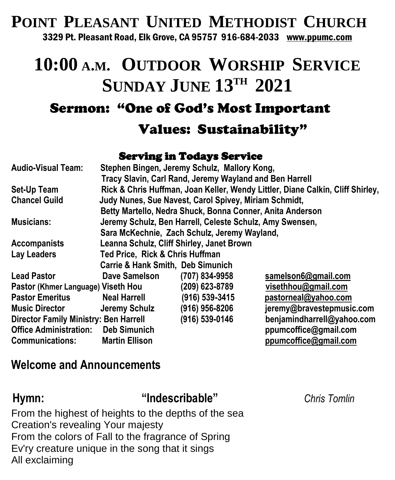### **POINT PLEASANT UNITED METHODIST CHURCH** 3329 Pt. Pleasant Road, Elk Grove, CA 95757 916-684-2033 [www.ppumc.com](http://www.ppumc.com/)

# **10:00 <sup>A</sup>.M. OUTDOOR WORSHIP SERVICE SUNDAY JUNE 13TH 2021**

### Sermon: "One of God's Most Important

# Values: Sustainability"

### Serving in Todays Service

| <b>Audio-Visual Team:</b>                    | Stephen Bingen, Jeremy Schulz, Mallory Kong,                                   |                |                            |  |
|----------------------------------------------|--------------------------------------------------------------------------------|----------------|----------------------------|--|
|                                              | Tracy Slavin, Carl Rand, Jeremy Wayland and Ben Harrell                        |                |                            |  |
| Set-Up Team                                  | Rick & Chris Huffman, Joan Keller, Wendy Littler, Diane Calkin, Cliff Shirley, |                |                            |  |
| <b>Chancel Guild</b>                         | Judy Nunes, Sue Navest, Carol Spivey, Miriam Schmidt,                          |                |                            |  |
|                                              | Betty Martello, Nedra Shuck, Bonna Conner, Anita Anderson                      |                |                            |  |
| <b>Musicians:</b>                            | Jeremy Schulz, Ben Harrell, Celeste Schulz, Amy Swensen,                       |                |                            |  |
|                                              | Sara McKechnie, Zach Schulz, Jeremy Wayland,                                   |                |                            |  |
| <b>Accompanists</b>                          | Leanna Schulz, Cliff Shirley, Janet Brown                                      |                |                            |  |
| <b>Lay Leaders</b>                           | Ted Price, Rick & Chris Huffman                                                |                |                            |  |
|                                              | <b>Carrie &amp; Hank Smith, Deb Simunich</b>                                   |                |                            |  |
| <b>Lead Pastor</b>                           | Dave Samelson                                                                  | (707) 834-9958 | samelson6@gmail.com        |  |
| Pastor (Khmer Language) Viseth Hou           |                                                                                | (209) 623-8789 | visethhou@gmail.com        |  |
| <b>Pastor Emeritus</b>                       | <b>Neal Harrell</b>                                                            | (916) 539-3415 | pastorneal@yahoo.com       |  |
| <b>Music Director</b>                        | <b>Jeremy Schulz</b>                                                           | (916) 956-8206 | jeremy@bravestepmusic.com  |  |
| <b>Director Family Ministry: Ben Harrell</b> |                                                                                | (916) 539-0146 | benjamindharrell@yahoo.com |  |
| <b>Office Administration:</b>                | <b>Deb Simunich</b>                                                            |                | ppumcoffice@gmail.com      |  |
| <b>Communications:</b>                       | <b>Martin Ellison</b>                                                          |                | ppumcoffice@gmail.com      |  |

### **Welcome and Announcements**

**Hymn: "Indescribable"** *Chris Tomlin*

From the highest of heights to the depths of the sea Creation's revealing Your majesty From the colors of Fall to the fragrance of Spring Ev'ry creature unique in the song that it sings All exclaiming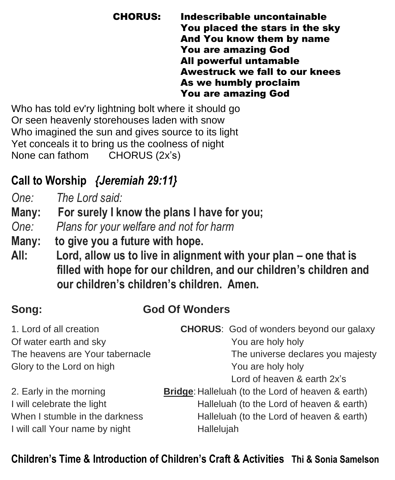### CHORUS: Indescribable uncontainable You placed the stars in the sky And You know them by name You are amazing God All powerful untamable Awestruck we fall to our knees As we humbly proclaim You are amazing God

Who has told ev'ry lightning bolt where it should go Or seen heavenly storehouses laden with snow Who imagined the sun and gives source to its light Yet conceals it to bring us the coolness of night None can fathom CHORUS (2x's)

# **Call to Worship** *{Jeremiah 29:11}*

*One: The Lord said:*

**Many: For surely I know the plans I have for you;**

*One: Plans for your welfare and not for harm*

- **Many: to give you a future with hope.**
- **All: Lord, allow us to live in alignment with your plan – one that is filled with hope for our children, and our children's children and our children's children's children. Amen.**

## **Song: God Of Wonders**

| 1. Lord of all creation         | <b>CHORUS:</b> God of wonders beyond our galaxy   |
|---------------------------------|---------------------------------------------------|
| Of water earth and sky          | You are holy holy                                 |
| The heavens are Your tabernacle | The universe declares you majesty                 |
| Glory to the Lord on high       | You are holy holy                                 |
|                                 | Lord of heaven & earth 2x's                       |
| 2. Early in the morning         | Bridge: Halleluah (to the Lord of heaven & earth) |
| I will celebrate the light      | Halleluah (to the Lord of heaven & earth)         |
| When I stumble in the darkness  | Halleluah (to the Lord of heaven & earth)         |
| I will call Your name by night  | Hallelujah                                        |

### **Children's Time & Introduction of Children's Craft & Activities Thi & Sonia Samelson**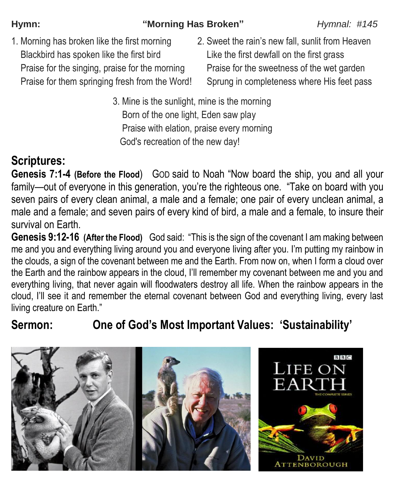### Hymn: **"Worning Has Broken"** *Hymnal: #145*

- 1. Morning has broken like the first morning 2. Sweet the rain's new fall, sunlit from Heaven Blackbird has spoken like the first bird Like the first dewfall on the first grass Praise for the singing, praise for the morning Praise for the sweetness of the wet garden
- Praise for them springing fresh from the Word! Sprung in completeness where His feet pass
	- 3. Mine is the sunlight, mine is the morning Born of the one light, Eden saw play Praise with elation, praise every morning God's recreation of the new day!

### **Scriptures:**

**Genesis 7:1-4 (Before the Flood**) GOD said to Noah "Now board the ship, you and all your family—out of everyone in this generation, you're the righteous one. "Take on board with you seven pairs of every clean animal, a male and a female; one pair of every unclean animal, a male and a female; and seven pairs of every kind of bird, a male and a female, to insure their survival on Earth.

**Genesis 9:12-16 (After the Flood)** God said: "This is the sign of the covenant I am making between me and you and everything living around you and everyone living after you. I'm putting my rainbow in the clouds, a sign of the covenant between me and the Earth. From now on, when I form a cloud over the Earth and the rainbow appears in the cloud, I'll remember my covenant between me and you and everything living, that never again will floodwaters destroy all life. When the rainbow appears in the cloud, I'll see it and remember the eternal covenant between God and everything living, every last living creature on Earth."

### **Sermon: One of God's Most Important Values: 'Sustainability'**